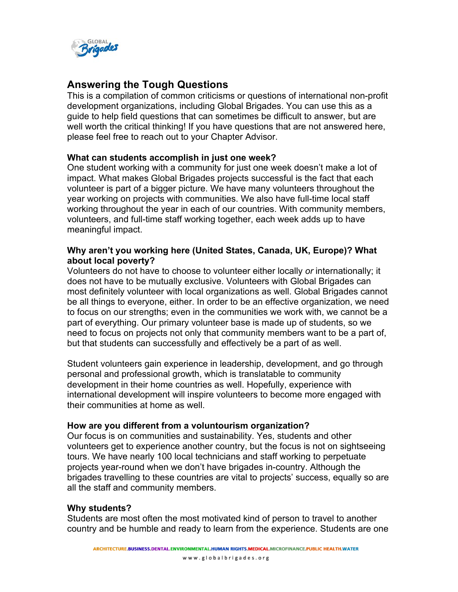

# **Answering the Tough Questions**

This is a compilation of common criticisms or questions of international non-profit development organizations, including Global Brigades. You can use this as a guide to help field questions that can sometimes be difficult to answer, but are well worth the critical thinking! If you have questions that are not answered here, please feel free to reach out to your Chapter Advisor.

# **What can students accomplish in just one week?**

One student working with a community for just one week doesn't make a lot of impact. What makes Global Brigades projects successful is the fact that each volunteer is part of a bigger picture. We have many volunteers throughout the year working on projects with communities. We also have full-time local staff working throughout the year in each of our countries. With community members, volunteers, and full-time staff working together, each week adds up to have meaningful impact.

# **Why aren't you working here (United States, Canada, UK, Europe)? What about local poverty?**

Volunteers do not have to choose to volunteer either locally *or* internationally; it does not have to be mutually exclusive. Volunteers with Global Brigades can most definitely volunteer with local organizations as well. Global Brigades cannot be all things to everyone, either. In order to be an effective organization, we need to focus on our strengths; even in the communities we work with, we cannot be a part of everything. Our primary volunteer base is made up of students, so we need to focus on projects not only that community members want to be a part of, but that students can successfully and effectively be a part of as well.

Student volunteers gain experience in leadership, development, and go through personal and professional growth, which is translatable to community development in their home countries as well. Hopefully, experience with international development will inspire volunteers to become more engaged with their communities at home as well.

#### **How are you different from a voluntourism organization?**

Our focus is on communities and sustainability. Yes, students and other volunteers get to experience another country, but the focus is not on sightseeing tours. We have nearly 100 local technicians and staff working to perpetuate projects year-round when we don't have brigades in-country. Although the brigades travelling to these countries are vital to projects' success, equally so are all the staff and community members.

#### **Why students?**

Students are most often the most motivated kind of person to travel to another country and be humble and ready to learn from the experience. Students are one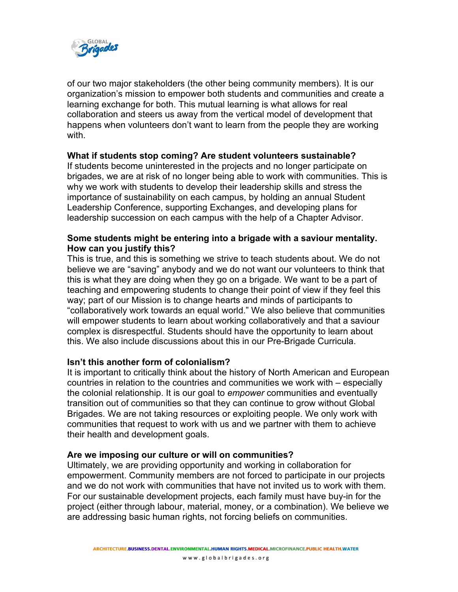

of our two major stakeholders (the other being community members). It is our organization's mission to empower both students and communities and create a learning exchange for both. This mutual learning is what allows for real collaboration and steers us away from the vertical model of development that happens when volunteers don't want to learn from the people they are working with.

# **What if students stop coming? Are student volunteers sustainable?**

If students become uninterested in the projects and no longer participate on brigades, we are at risk of no longer being able to work with communities. This is why we work with students to develop their leadership skills and stress the importance of sustainability on each campus, by holding an annual Student Leadership Conference, supporting Exchanges, and developing plans for leadership succession on each campus with the help of a Chapter Advisor.

# **Some students might be entering into a brigade with a saviour mentality. How can you justify this?**

This is true, and this is something we strive to teach students about. We do not believe we are "saving" anybody and we do not want our volunteers to think that this is what they are doing when they go on a brigade. We want to be a part of teaching and empowering students to change their point of view if they feel this way; part of our Mission is to change hearts and minds of participants to "collaboratively work towards an equal world." We also believe that communities will empower students to learn about working collaboratively and that a saviour complex is disrespectful. Students should have the opportunity to learn about this. We also include discussions about this in our Pre-Brigade Curricula.

#### **Isn't this another form of colonialism?**

It is important to critically think about the history of North American and European countries in relation to the countries and communities we work with – especially the colonial relationship. It is our goal to *empower* communities and eventually transition out of communities so that they can continue to grow without Global Brigades. We are not taking resources or exploiting people. We only work with communities that request to work with us and we partner with them to achieve their health and development goals.

#### **Are we imposing our culture or will on communities?**

Ultimately, we are providing opportunity and working in collaboration for empowerment. Community members are not forced to participate in our projects and we do not work with communities that have not invited us to work with them. For our sustainable development projects, each family must have buy-in for the project (either through labour, material, money, or a combination). We believe we are addressing basic human rights, not forcing beliefs on communities.